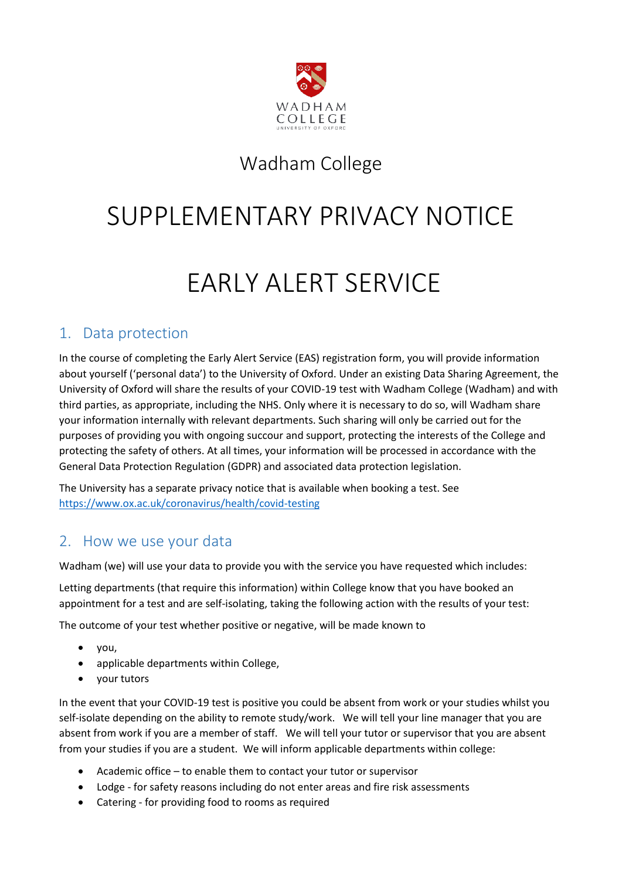

# Wadham College

# SUPPLEMENTARY PRIVACY NOTICE

# EARLY ALERT SERVICE

### 1. Data protection

In the course of completing the Early Alert Service (EAS) registration form, you will provide information about yourself ('personal data') to the University of Oxford. Under an existing Data Sharing Agreement, the University of Oxford will share the results of your COVID-19 test with Wadham College (Wadham) and with third parties, as appropriate, including the NHS. Only where it is necessary to do so, will Wadham share your information internally with relevant departments. Such sharing will only be carried out for the purposes of providing you with ongoing succour and support, protecting the interests of the College and protecting the safety of others. At all times, your information will be processed in accordance with the General Data Protection Regulation (GDPR) and associated data protection legislation.

The University has a separate privacy notice that is available when booking a test. See <https://www.ox.ac.uk/coronavirus/health/covid-testing>

#### 2. How we use your data

Wadham (we) will use your data to provide you with the service you have requested which includes:

Letting departments (that require this information) within College know that you have booked an appointment for a test and are self-isolating, taking the following action with the results of your test:

The outcome of your test whether positive or negative, will be made known to

- you,
- applicable departments within College,
- your tutors

In the event that your COVID-19 test is positive you could be absent from work or your studies whilst you self-isolate depending on the ability to remote study/work. We will tell your line manager that you are absent from work if you are a member of staff. We will tell your tutor or supervisor that you are absent from your studies if you are a student. We will inform applicable departments within college:

- Academic office to enable them to contact your tutor or supervisor
- Lodge for safety reasons including do not enter areas and fire risk assessments
- Catering for providing food to rooms as required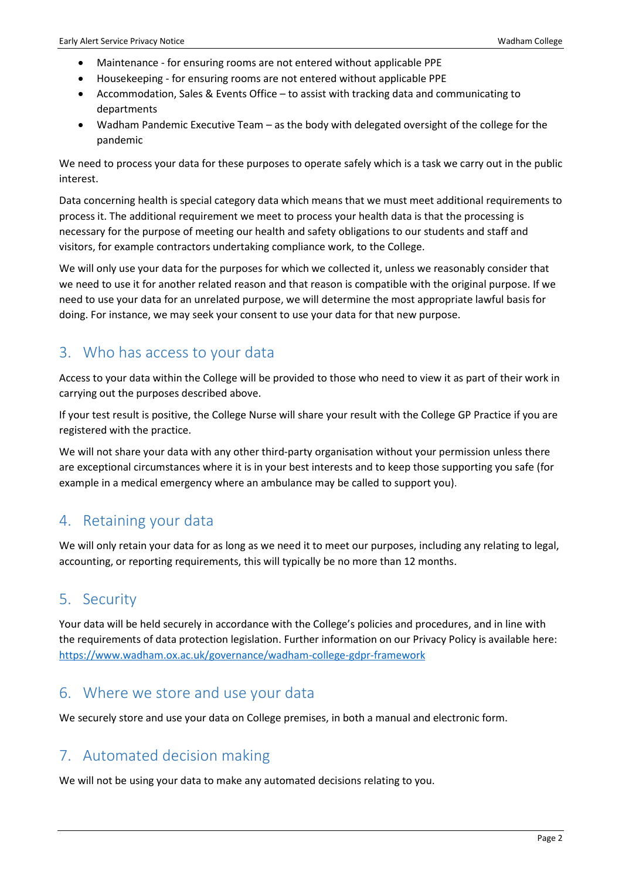- Maintenance for ensuring rooms are not entered without applicable PPE
- Housekeeping for ensuring rooms are not entered without applicable PPE
- Accommodation, Sales & Events Office to assist with tracking data and communicating to departments
- Wadham Pandemic Executive Team as the body with delegated oversight of the college for the pandemic

We need to process your data for these purposes to operate safely which is a task we carry out in the public interest.

Data concerning health is special category data which means that we must meet additional requirements to process it. The additional requirement we meet to process your health data is that the processing is necessary for the purpose of meeting our health and safety obligations to our students and staff and visitors, for example contractors undertaking compliance work, to the College.

We will only use your data for the purposes for which we collected it, unless we reasonably consider that we need to use it for another related reason and that reason is compatible with the original purpose. If we need to use your data for an unrelated purpose, we will determine the most appropriate lawful basis for doing. For instance, we may seek your consent to use your data for that new purpose.

#### 3. Who has access to your data

Access to your data within the College will be provided to those who need to view it as part of their work in carrying out the purposes described above.

If your test result is positive, the College Nurse will share your result with the College GP Practice if you are registered with the practice.

We will not share your data with any other third-party organisation without your permission unless there are exceptional circumstances where it is in your best interests and to keep those supporting you safe (for example in a medical emergency where an ambulance may be called to support you).

#### 4. Retaining your data

We will only retain your data for as long as we need it to meet our purposes, including any relating to legal, accounting, or reporting requirements, this will typically be no more than 12 months.

#### 5. Security

Your data will be held securely in accordance with the College's policies and procedures, and in line with the requirements of data protection legislation. Further information on our Privacy Policy is available here: <https://www.wadham.ox.ac.uk/governance/wadham-college-gdpr-framework>

#### 6. Where we store and use your data

We securely store and use your data on College premises, in both a manual and electronic form.

#### 7. Automated decision making

We will not be using your data to make any automated decisions relating to you.